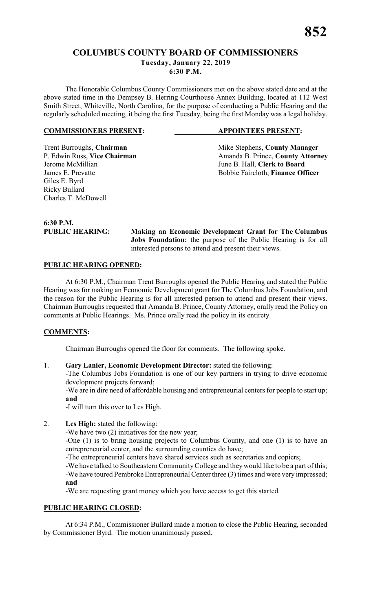# **COLUMBUS COUNTY BOARD OF COMMISSIONERS Tuesday, January 22, 2019 6:30 P.M.**

The Honorable Columbus County Commissioners met on the above stated date and at the above stated time in the Dempsey B. Herring Courthouse Annex Building, located at 112 West Smith Street, Whiteville, North Carolina, for the purpose of conducting a Public Hearing and the regularly scheduled meeting, it being the first Tuesday, being the first Monday was a legal holiday.

#### **COMMISSIONERS PRESENT: APPOINTEES PRESENT:**

Trent Burroughs, **Chairman** Mike Stephens, **County Manager** P. Edwin Russ, Vice Chairman Manager Amanda B. Prince, **County Attorn** P. Edwin Russ, **Vice Chairman** Amanda B. Prince, **County Attorney**<br>Jerome McMillian June B. Hall, **Clerk to Board** Jerome McMillian June B. Hall, **Clerk to Board** Bobbie Faircloth, Finance Officer

Giles E. Byrd Ricky Bullard Charles T. McDowell

**6:30 P.M.**

**PUBLIC HEARING: Making an Economic Development Grant for The Columbus Jobs Foundation:** the purpose of the Public Hearing is for all interested persons to attend and present their views.

# **PUBLIC HEARING OPENED:**

At 6:30 P.M., Chairman Trent Burroughs opened the Public Hearing and stated the Public Hearing was for making an Economic Development grant for The Columbus Jobs Foundation, and the reason for the Public Hearing is for all interested person to attend and present their views. Chairman Burroughs requested that Amanda B. Prince, County Attorney, orally read the Policy on comments at Public Hearings. Ms. Prince orally read the policy in its entirety.

# **COMMENTS:**

Chairman Burroughs opened the floor for comments. The following spoke.

1. **Gary Lanier, Economic Development Director:** stated the following:

-The Columbus Jobs Foundation is one of our key partners in trying to drive economic development projects forward;

-We are in dire need of affordable housing and entrepreneurial centers for people to start up; **and**

-I will turn this over to Les High.

# 2. **Les High:** stated the following:

-We have two (2) initiatives for the new year;

-One (1) is to bring housing projects to Columbus County, and one (1) is to have an entrepreneurial center, and the surrounding counties do have;

-The entrepreneurial centers have shared services such as secretaries and copiers;

-We have talked to Southeastern Community College and they would like to be a part of this; -We have toured Pembroke Entrepreneurial Center three (3) times and were very impressed; **and**

-We are requesting grant money which you have access to get this started.

# **PUBLIC HEARING CLOSED:**

At 6:34 P.M., Commissioner Bullard made a motion to close the Public Hearing, seconded by Commissioner Byrd. The motion unanimously passed.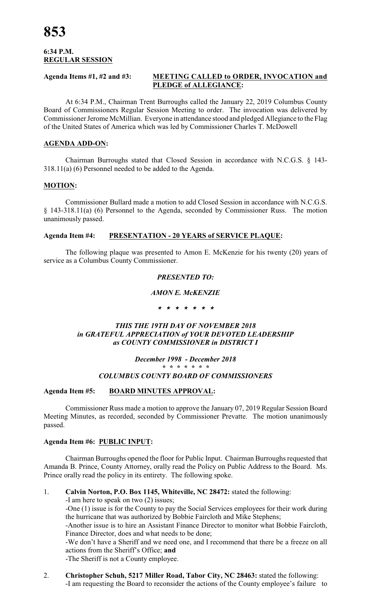## **6:34 P.M. REGULAR SESSION**

#### **Agenda Items #1, #2 and #3: MEETING CALLED to ORDER, INVOCATION and PLEDGE of ALLEGIANCE:**

At 6:34 P.M., Chairman Trent Burroughs called the January 22, 2019 Columbus County Board of Commissioners Regular Session Meeting to order. The invocation was delivered by Commissioner Jerome McMillian. Everyone in attendance stood and pledged Allegiance to the Flag of the United States of America which was led by Commissioner Charles T. McDowell

# **AGENDA ADD-ON:**

Chairman Burroughs stated that Closed Session in accordance with N.C.G.S. § 143- 318.11(a) (6) Personnel needed to be added to the Agenda.

# **MOTION:**

Commissioner Bullard made a motion to add Closed Session in accordance with N.C.G.S. § 143-318.11(a) (6) Personnel to the Agenda, seconded by Commissioner Russ. The motion unanimously passed.

# **Agenda Item #4: PRESENTATION - 20 YEARS of SERVICE PLAQUE:**

The following plaque was presented to Amon E. McKenzie for his twenty (20) years of service as a Columbus County Commissioner.

# *PRESENTED TO:*

# *AMON E. McKENZIE*

*\* \* \* \* \* \* \**

# *THIS THE 19TH DAY OF NOVEMBER 2018 in GRATEFUL APPRECIATION of YOUR DEVOTED LEADERSHIP as COUNTY COMMISSIONER in DISTRICT I*

#### *December 1998 - December 2018 \* \* \* \* \* \* \* COLUMBUS COUNTY BOARD OF COMMISSIONERS*

# **Agenda Item #5: BOARD MINUTES APPROVAL:**

Commissioner Russ made a motion to approve the January 07, 2019 Regular Session Board Meeting Minutes, as recorded, seconded by Commissioner Prevatte. The motion unanimously passed.

# **Agenda Item #6: PUBLIC INPUT:**

Chairman Burroughs opened the floor for Public Input. Chairman Burroughs requested that Amanda B. Prince, County Attorney, orally read the Policy on Public Address to the Board. Ms. Prince orally read the policy in its entirety. The following spoke.

# 1. **Calvin Norton, P.O. Box 1145, Whiteville, NC 28472:** stated the following:

-I am here to speak on two (2) issues;

-One (1) issue is for the County to pay the Social Services employees for their work during the hurricane that was authorized by Bobbie Faircloth and Mike Stephens;

-Another issue is to hire an Assistant Finance Director to monitor what Bobbie Faircloth, Finance Director, does and what needs to be done;

-We don't have a Sheriff and we need one, and I recommend that there be a freeze on all actions from the Sheriff's Office; **and**

-The Sheriff is not a County employee.

2. **Christopher Schuh, 5217 Miller Road, Tabor City, NC 28463:** stated the following: -I am requesting the Board to reconsider the actions of the County employee's failure to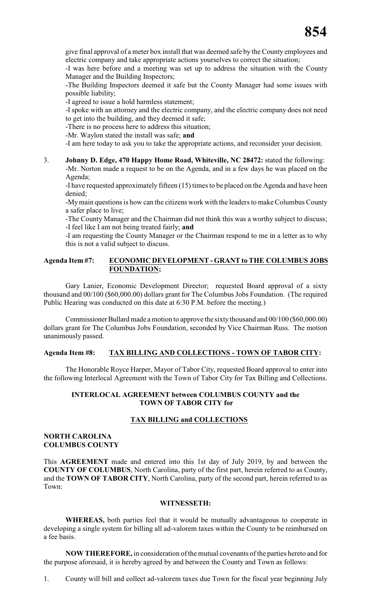give final approval of a meter box install that was deemed safe by the County employees and electric company and take appropriate actions yourselves to correct the situation;

-I was here before and a meeting was set up to address the situation with the County Manager and the Building Inspectors;

-The Building Inspectors deemed it safe but the County Manager had some issues with possible liability;

-I agreed to issue a hold harmless statement;

-I spoke with an attorney and the electric company, and the electric company does not need to get into the building, and they deemed it safe;

-There is no process here to address this situation;

-Mr. Waylon stated the install was safe; **and**

-I am here today to ask you to take the appropriate actions, and reconsider your decision.

#### 3. **Johnny D. Edge, 470 Happy Home Road, Whiteville, NC 28472:** stated the following: -Mr. Norton made a request to be on the Agenda, and in a few days he was placed on the Agenda;

-I have requested approximately fifteen (15) times to be placed on the Agenda and have been denied;

-My main questions is how can the citizens work with the leaders to make Columbus County a safer place to live;

-The County Manager and the Chairman did not think this was a worthy subject to discuss; -I feel like I am not being treated fairly; **and**

-I am requesting the County Manager or the Chairman respond to me in a letter as to why this is not a valid subject to discuss.

# **Agenda Item #7: ECONOMIC DEVELOPMENT - GRANT to THE COLUMBUS JOBS FOUNDATION;**

Gary Lanier, Economic Development Director; requested Board approval of a sixty thousand and 00/100 (\$60,000.00) dollars grant for The Columbus Jobs Foundation. (The required Public Hearing was conducted on this date at 6:30 P.M. before the meeting.)

Commissioner Bullard made a motion to approve the sixty thousand and 00/100 (\$60,000.00) dollars grant for The Columbus Jobs Foundation, seconded by Vice Chairman Russ. The motion unanimously passed.

# **Agenda Item #8: TAX BILLING AND COLLECTIONS - TOWN OF TABOR CITY:**

The Honorable Royce Harper, Mayor of Tabor City, requested Board approval to enter into the following Interlocal Agreement with the Town of Tabor City for Tax Billing and Collections.

# **INTERLOCAL AGREEMENT between COLUMBUS COUNTY and the TOWN OF TABOR CITY for**

# **TAX BILLING and COLLECTIONS**

# **NORTH CAROLINA COLUMBUS COUNTY**

This **AGREEMENT** made and entered into this 1st day of July 2019, by and between the **COUNTY OF COLUMBUS**, North Carolina, party of the first part, herein referred to as County, and the **TOWN OF TABOR CITY**, North Carolina, party of the second part, herein referred to as Town:

#### **WITNESSETH:**

**WHEREAS,** both parties feel that it would be mutually advantageous to cooperate in developing a single system for billing all ad-valorem taxes within the County to be reimbursed on a fee basis.

**NOW THEREFORE,** in consideration ofthe mutual covenants of the parties hereto and for the purpose aforesaid, it is hereby agreed by and between the County and Town as follows:

1. County will bill and collect ad-valorem taxes due Town for the fiscal year beginning July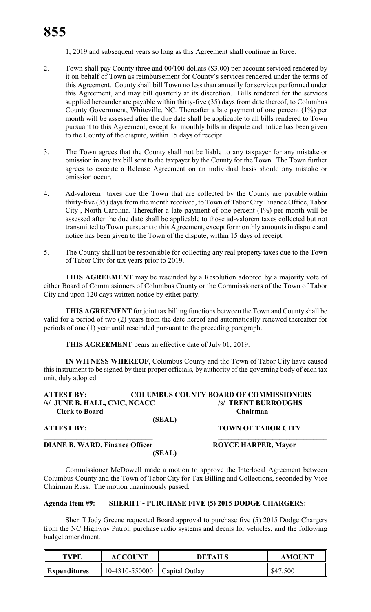1, 2019 and subsequent years so long as this Agreement shall continue in force.

- 2. Town shall pay County three and 00/100 dollars (\$3.00) per account serviced rendered by it on behalf of Town as reimbursement for County's services rendered under the terms of this Agreement. County shall bill Town no less than annually for services performed under this Agreement, and may bill quarterly at its discretion. Bills rendered for the services supplied hereunder are payable within thirty-five (35) days from date thereof, to Columbus County Government, Whiteville, NC. Thereafter a late payment of one percent (1%) per month will be assessed after the due date shall be applicable to all bills rendered to Town pursuant to this Agreement, except for monthly bills in dispute and notice has been given to the County of the dispute, within 15 days of receipt.
- 3. The Town agrees that the County shall not be liable to any taxpayer for any mistake or omission in any tax bill sent to the taxpayer by the County for the Town. The Town further agrees to execute a Release Agreement on an individual basis should any mistake or omission occur.
- 4. Ad-valorem taxes due the Town that are collected by the County are payable within thirty-five (35) days from the month received, to Town of Tabor City Finance Office, Tabor City , North Carolina. Thereafter a late payment of one percent (1%) per month will be assessed after the due date shall be applicable to those ad-valorem taxes collected but not transmitted to Town pursuant to this Agreement, except for monthly amounts in dispute and notice has been given to the Town of the dispute, within 15 days of receipt.
- 5. The County shall not be responsible for collecting any real property taxes due to the Town of Tabor City for tax years prior to 2019.

**THIS AGREEMENT** may be rescinded by a Resolution adopted by a majority vote of either Board of Commissioners of Columbus County or the Commissioners of the Town of Tabor City and upon 120 days written notice by either party.

**THIS AGREEMENT** for joint tax billing functions between the Town and County shall be valid for a period of two (2) years from the date hereof and automatically renewed thereafter for periods of one (1) year until rescinded pursuant to the preceding paragraph.

**THIS AGREEMENT** bears an effective date of July 01, 2019.

**IN WITNESS WHEREOF**, Columbus County and the Town of Tabor City have caused this instrument to be signed by their proper officials, by authority of the governing body of each tax unit, duly adopted.

| <b>ATTEST BY:</b>            |        | <b>COLUMBUS COUNTY BOARD OF COMMISSIONERS</b> |
|------------------------------|--------|-----------------------------------------------|
| /s/ JUNE B. HALL, CMC, NCACC |        | /s/ TRENT BURROUGHS                           |
| <b>Clerk to Board</b>        |        | <b>Chairman</b>                               |
|                              | (SEAL) |                                               |
| <b>ATTEST BY:</b>            |        | <b>TOWN OF TABOR CITY</b>                     |

**DIANE B. WARD, Finance Officer ROYCE HARPER, Mayor** 

**(SEAL)**

**\_\_\_\_\_\_\_\_\_\_\_\_\_\_\_\_\_\_\_\_\_\_\_\_\_\_\_\_\_\_ \_\_\_\_\_\_\_\_\_\_\_\_\_\_\_\_\_\_\_\_\_\_\_\_\_\_\_\_\_\_\_\_**

Commissioner McDowell made a motion to approve the Interlocal Agreement between Columbus County and the Town of Tabor City for Tax Billing and Collections, seconded by Vice Chairman Russ. The motion unanimously passed.

# **Agenda Item #9: SHERIFF - PURCHASE FIVE (5) 2015 DODGE CHARGERS:**

Sheriff Jody Greene requested Board approval to purchase five (5) 2015 Dodge Chargers from the NC Highway Patrol, purchase radio systems and decals for vehicles, and the following budget amendment.

| TYPF                    | <b>ACCOUNT</b> | DETAILS        | <b>AMOUNT</b> |
|-------------------------|----------------|----------------|---------------|
| $\mathbf{Expenditures}$ | 10-4310-550000 | Capital Outlay | \$47,500      |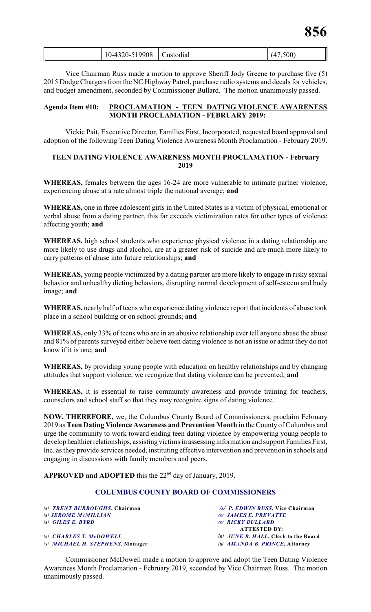| ∥<br>.9908<br>$\cdot$<br>,500)<br>$\sim$<br>. $\Lambda^-$<br>$20-$<br>10-43<br>\ustod1al<br>- 17 |  |
|--------------------------------------------------------------------------------------------------|--|
|--------------------------------------------------------------------------------------------------|--|

Vice Chairman Russ made a motion to approve Sheriff Jody Greene to purchase five (5) 2015 Dodge Chargers from the NC Highway Patrol, purchase radio systems and decals for vehicles, and budget amendment, seconded by Commissioner Bullard. The motion unanimously passed.

#### **Agenda Item #10: PROCLAMATION - TEEN DATING VIOLENCE AWARENESS MONTH PROCLAMATION - FEBRUARY 2019:**

Vickie Pait, Executive Director, Families First, Incorporated, requested board approval and adoption of the following Teen Dating Violence Awareness Month Proclamation - February 2019.

# **TEEN DATING VIOLENCE AWARENESS MONTH PROCLAMATION - February 2019**

**WHEREAS,** females between the ages 16-24 are more vulnerable to intimate partner violence, experiencing abuse at a rate almost triple the national average; **and**

**WHEREAS,** one in three adolescent girls in the United States is a victim of physical, emotional or verbal abuse from a dating partner, this far exceeds victimization rates for other types of violence affecting youth; **and**

**WHEREAS,** high school students who experience physical violence in a dating relationship are more likely to use drugs and alcohol, are at a greater risk of suicide and are much more likely to carry patterns of abuse into future relationships; **and**

**WHEREAS,** young people victimized by a dating partner are more likely to engage in risky sexual behavior and unhealthy dieting behaviors, disrupting normal development of self-esteem and body image; **and**

**WHEREAS,** nearly half of teens who experience dating violence report that incidents of abuse took place in a school building or on school grounds; **and**

**WHEREAS,** only 33% of teens who are in an abusive relationship ever tell anyone abuse the abuse and 81% of parents surveyed either believe teen dating violence is not an issue or admit they do not know if it is one; **and**

**WHEREAS,** by providing young people with education on healthy relationships and by changing attitudes that support violence, we recognize that dating violence can be prevented; **and**

**WHEREAS,** it is essential to raise community awareness and provide training for teachers, counselors and school staff so that they may recognize signs of dating violence.

**NOW, THEREFORE,** we, the Columbus County Board of Commissioners, proclaim February 2019 as **Teen Dating Violence Awareness and Prevention Month** in the County of Columbus and urge the community to work toward ending teen dating violence by empowering young people to develop healthier relationships, assisting victims in assessing information and support Families First, Inc. as they provide services needed, instituting effective intervention and prevention in schools and engaging in discussions with family members and peers.

**APPROVED and ADOPTED** this the  $22<sup>nd</sup>$  day of January, 2019.

# **COLUMBUS COUNTY BOARD OF COMMISSIONERS**

| /s/ TRENT BURROUGHS, Chairman            | /s/ P. EDWIN RUSS, Vice Chairman           |
|------------------------------------------|--------------------------------------------|
| s  JEROME McMILLIAN                      | <b>/s/ JAMES E. PREVATTE</b>               |
| s GILES E. BYRD                          | <b>/s/ RICKY BULLARD</b>                   |
|                                          | <b>ATTESTED BY:</b>                        |
| <b>SI CHARLES T. McDOWELL</b>            | <i>S JUNE B. HALL</i> , Clerk to the Board |
| /s/ <i>MICHAEL H. STEPHENS</i> , Manager | /s/ AMANDA B. PRINCE, Attorney             |

Commissioner McDowell made a motion to approve and adopt the Teen Dating Violence Awareness Month Proclamation - February 2019, seconded by Vice Chairman Russ. The motion unanimously passed.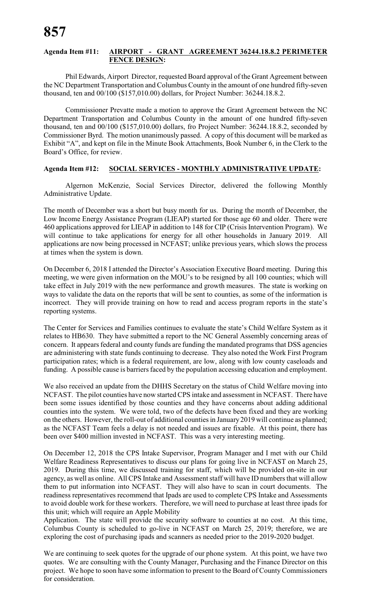#### **Agenda Item #11: AIRPORT - GRANT AGREEMENT 36244.18.8.2 PERIMETER FENCE DESIGN:**

Phil Edwards, Airport Director, requested Board approval of the Grant Agreement between the NC Department Transportation and Columbus County in the amount of one hundred fifty-seven thousand, ten and 00/100 (\$157,010.00) dollars, for Project Number: 36244.18.8.2.

Commissioner Prevatte made a motion to approve the Grant Agreement between the NC Department Transportation and Columbus County in the amount of one hundred fifty-seven thousand, ten and 00/100 (\$157,010.00) dollars, fro Project Number: 36244.18.8.2, seconded by Commissioner Byrd. The motion unanimously passed. A copy of this document will be marked as Exhibit "A", and kept on file in the Minute Book Attachments, Book Number 6, in the Clerk to the Board's Office, for review.

# **Agenda Item #12: SOCIAL SERVICES - MONTHLY ADMINISTRATIVE UPDATE:**

Algernon McKenzie, Social Services Director, delivered the following Monthly Administrative Update.

The month of December was a short but busy month for us. During the month of December, the Low Income Energy Assistance Program (LIEAP) started for those age 60 and older. There were 460 applications approved for LIEAP in addition to 148 for CIP (Crisis Intervention Program). We will continue to take applications for energy for all other households in January 2019. All applications are now being processed in NCFAST; unlike previous years, which slows the process at times when the system is down.

On December 6, 2018 I attended the Director's Association Executive Board meeting. During this meeting, we were given information on the MOU's to be resigned by all 100 counties; which will take effect in July 2019 with the new performance and growth measures. The state is working on ways to validate the data on the reports that will be sent to counties, as some of the information is incorrect. They will provide training on how to read and access program reports in the state's reporting systems.

The Center for Services and Families continues to evaluate the state's Child Welfare System as it relates to HB630. They have submitted a report to the NC General Assembly concerning areas of concern. It appears federal and county funds are funding the mandated programs that DSS agencies are administering with state funds continuing to decrease. They also noted the Work First Program participation rates; which is a federal requirement, are low, along with low county caseloads and funding. A possible cause is barriers faced by the population accessing education and employment.

We also received an update from the DHHS Secretary on the status of Child Welfare moving into NCFAST. The pilot counties have now started CPS intake and assessment in NCFAST. There have been some issues identified by those counties and they have concerns about adding additional counties into the system. We were told, two of the defects have been fixed and they are working on the others. However, the roll-out of additional counties in January2019 will continue as planned; as the NCFAST Team feels a delay is not needed and issues are fixable. At this point, there has been over \$400 million invested in NCFAST. This was a very interesting meeting.

On December 12, 2018 the CPS Intake Supervisor, Program Manager and I met with our Child Welfare Readiness Representatives to discuss our plans for going live in NCFAST on March 25, 2019. During this time, we discussed training for staff, which will be provided on-site in our agency, as well as online. All CPS Intake and Assessment staff will have ID numbers that will allow them to put information into NCFAST. They will also have to scan in court documents. The readiness representatives recommend that Ipads are used to complete CPS Intake and Assessments to avoid double work for these workers. Therefore, we will need to purchase at least three ipads for this unit; which will require an Apple Mobility

Application. The state will provide the security software to counties at no cost. At this time, Columbus County is scheduled to go-live in NCFAST on March 25, 2019; therefore, we are exploring the cost of purchasing ipads and scanners as needed prior to the 2019-2020 budget.

We are continuing to seek quotes for the upgrade of our phone system. At this point, we have two quotes. We are consulting with the County Manager, Purchasing and the Finance Director on this project. We hope to soon have some information to present to the Board of County Commissioners for consideration.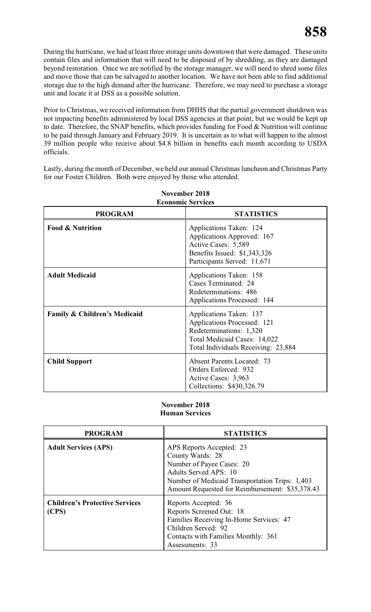During the hurricane, we had at least three storage units downtown that were damaged. These units contain files and information that will need to be disposed of by shredding, as they are damaged beyond restoration. Once we are notified by the storage manager, we will need to shred some files and move those that can be salvaged to another location. We have not been able to find additional storage due to the high demand after the hurricane. Therefore, we may need to purchase a storage unit and locate it at DSS as a possible solution.

Prior to Christmas, we received information from DHHS that the partial government shutdown was not impacting benefits administered by local DSS agencies at that point, but we would be kept up to date. Therefore, the SNAP benefits, which provides funding for Food & Nutrition will continue to be paid through January and February 2019. It is uncertain as to what will happen to the almost 39 million people who receive about \$4.8 billion in benefits each month according to USDA officials.

Lastly, during the month of December, we held our annual Christmas luncheon and Christmas Party for our Foster Children. Both were enjoyed by those who attended.

| <b>PROGRAM</b>                          | <b>STATISTICS</b>                                                                                                                                        |
|-----------------------------------------|----------------------------------------------------------------------------------------------------------------------------------------------------------|
| <b>Food &amp; Nutrition</b>             | Applications Taken: 124<br>Applications Approved: 167<br>Active Cases: 5,589<br>Benefits Issued: \$1,343,326<br>Participants Served: 11,671              |
| <b>Adult Medicaid</b>                   | Applications Taken: 158<br>Cases Terminated: 24<br>Redeterminations: 486<br><b>Applications Processed: 144</b>                                           |
| <b>Family &amp; Children's Medicaid</b> | Applications Taken: 137<br>Applications Processed: 121<br>Redeterminations: 1,320<br>Total Medicaid Cases: 14,022<br>Total Individuals Receiving: 23,884 |
| <b>Child Support</b>                    | <b>Absent Parents Located: 73</b><br>Orders Enforced: 932<br>Active Cases: 3,963<br>Collections: \$430,326.79                                            |

#### **November 2018 Economic Services**

# **November 2018 Human Services**

| <b>PROGRAM</b>                                 | <b>STATISTICS</b>                                                                                                                                                                                       |  |
|------------------------------------------------|---------------------------------------------------------------------------------------------------------------------------------------------------------------------------------------------------------|--|
| <b>Adult Services (APS)</b>                    | APS Reports Accepted: 23<br>County Wards: 28<br>Number of Payee Cases: 20<br>Adults Served APS: 10<br>Number of Medicaid Transportation Trips: 1,403<br>Amount Requested for Reimbursement: \$35,378.43 |  |
| <b>Children's Protective Services</b><br>(CPS) | Reports Accepted: 36<br>Reports Screened Out: 18<br>Families Receiving In-Home Services: 47<br>Children Served: 92<br>Contacts with Families Monthly: 361<br>Assessments: 33                            |  |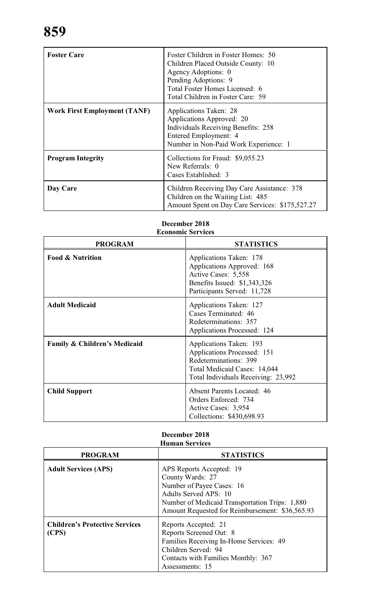| <b>Foster Care</b>                  | Foster Children in Foster Homes: 50<br>Children Placed Outside County: 10<br>Agency Adoptions: 0<br>Pending Adoptions: 9<br>Total Foster Homes Licensed: 6<br>Total Children in Foster Care: 59 |
|-------------------------------------|-------------------------------------------------------------------------------------------------------------------------------------------------------------------------------------------------|
| <b>Work First Employment (TANF)</b> | Applications Taken: 28<br>Applications Approved: 20<br><b>Individuals Receiving Benefits: 258</b><br>Entered Employment: 4<br>Number in Non-Paid Work Experience: 1                             |
| <b>Program Integrity</b>            | Collections for Fraud: \$9,055.23<br>New Referrals: 0<br>Cases Established: 3                                                                                                                   |
| Day Care                            | Children Receiving Day Care Assistance: 378<br>Children on the Waiting List: 485<br>Amount Spent on Day Care Services: \$175,527.27                                                             |

# **PROGRAM STATISTICS Food & Nutrition** Applications Taken: 178 Applications Approved: 168 Active Cases: 5,558 Benefits Issued: \$1,343,326 Participants Served: 11,728 **Adult Medicaid** Applications Taken: 127 Cases Terminated: 46 Redeterminations: 357 Applications Processed: 124 **Family & Children's Medicaid** Applications Taken: 193 Applications Processed: 151 Redeterminations: 399 Total Medicaid Cases: 14,044 Total Individuals Receiving: 23,992 **Child Support** Absent Parents Located: 46 Orders Enforced: 734 Active Cases: 3,954 Collections: \$430,698.93

# **December 2018 Economic Services**

# **December 2018 Human Services**

| <b>PROGRAM</b>                                 | <b>STATISTICS</b>                                                                                                                                                                                              |  |
|------------------------------------------------|----------------------------------------------------------------------------------------------------------------------------------------------------------------------------------------------------------------|--|
| <b>Adult Services (APS)</b>                    | APS Reports Accepted: 19<br>County Wards: 27<br>Number of Payee Cases: 16<br><b>Adults Served APS: 10</b><br>Number of Medicaid Transportation Trips: 1,880<br>Amount Requested for Reimbursement: \$36,565.93 |  |
| <b>Children's Protective Services</b><br>(CPS) | Reports Accepted: 21<br>Reports Screened Out: 8<br>Families Receiving In-Home Services: 49<br>Children Served: 94<br>Contacts with Families Monthly: 367<br>Assessments: 15                                    |  |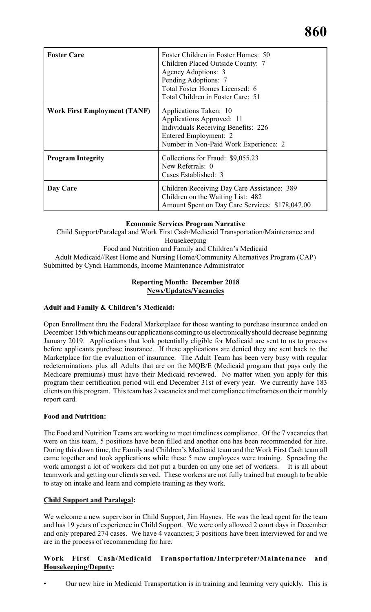| <b>Foster Care</b>                  | Foster Children in Foster Homes: 50<br>Children Placed Outside County: 7<br>Agency Adoptions: 3<br>Pending Adoptions: 7<br>Total Foster Homes Licensed: 6<br>Total Children in Foster Care: 51 |
|-------------------------------------|------------------------------------------------------------------------------------------------------------------------------------------------------------------------------------------------|
| <b>Work First Employment (TANF)</b> | Applications Taken: 10<br>Applications Approved: 11<br><b>Individuals Receiving Benefits: 226</b><br>Entered Employment: 2<br>Number in Non-Paid Work Experience: 2                            |
| <b>Program Integrity</b>            | Collections for Fraud: \$9,055.23<br>New Referrals: 0<br>Cases Established: 3                                                                                                                  |
| Day Care                            | Children Receiving Day Care Assistance: 389<br>Children on the Waiting List: 482<br>Amount Spent on Day Care Services: \$178,047.00                                                            |

# **Economic Services Program Narrative**

Child Support/Paralegal and Work First Cash/Medicaid Transportation/Maintenance and Housekeeping Food and Nutrition and Family and Children's Medicaid

Adult Medicaid//Rest Home and Nursing Home/Community Alternatives Program (CAP) Submitted by Cyndi Hammonds, Income Maintenance Administrator

# **Reporting Month: December 2018 News/Updates/Vacancies**

# **Adult and Family & Children's Medicaid:**

Open Enrollment thru the Federal Marketplace for those wanting to purchase insurance ended on December 15th which means our applications coming to us electronically should decrease beginning January 2019. Applications that look potentially eligible for Medicaid are sent to us to process before applicants purchase insurance. If these applications are denied they are sent back to the Marketplace for the evaluation of insurance. The Adult Team has been very busy with regular redeterminations plus all Adults that are on the MQB/E (Medicaid program that pays only the Medicare premiums) must have their Medicaid reviewed. No matter when you apply for this program their certification period will end December 31st of every year. We currently have 183 clients on this program. This team has 2 vacancies and met compliance timeframes on their monthly report card.

# **Food and Nutrition:**

The Food and Nutrition Teams are working to meet timeliness compliance. Of the 7 vacancies that were on this team, 5 positions have been filled and another one has been recommended for hire. During this down time, the Family and Children's Medicaid team and the Work First Cash team all came together and took applications while these 5 new employees were training. Spreading the work amongst a lot of workers did not put a burden on any one set of workers. It is all about teamwork and getting our clients served. These workers are not fully trained but enough to be able to stay on intake and learn and complete training as they work.

# **Child Support and Paralegal:**

We welcome a new supervisor in Child Support, Jim Haynes. He was the lead agent for the team and has 19 years of experience in Child Support. We were only allowed 2 court days in December and only prepared 274 cases. We have 4 vacancies; 3 positions have been interviewed for and we are in the process of recommending for hire.

# **Work First Cash/Medicaid Transportation/Interpreter/Maintenance and Housekeeping/Deputy:**

• Our new hire in Medicaid Transportation is in training and learning very quickly. This is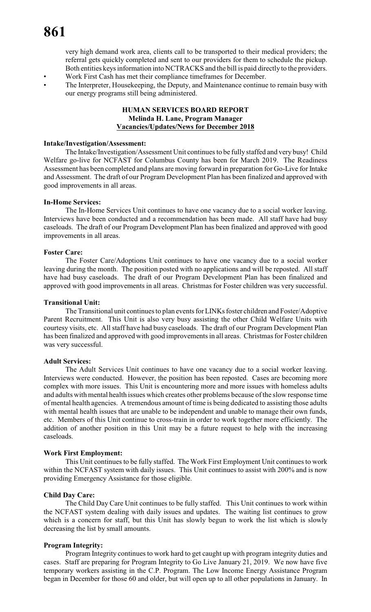very high demand work area, clients call to be transported to their medical providers; the referral gets quickly completed and sent to our providers for them to schedule the pickup. Both entities keys information into NCTRACKS and the bill is paid directly to the providers. • Work First Cash has met their compliance timeframes for December.

The Interpreter, Housekeeping, the Deputy, and Maintenance continue to remain busy with our energy programs still being administered.

# **HUMAN SERVICES BOARD REPORT Melinda H. Lane, Program Manager Vacancies/Updates/News for December 2018**

#### **Intake/Investigation/Assessment:**

The Intake/Investigation/Assessment Unit continues to be fully staffed and very busy! Child Welfare go-live for NCFAST for Columbus County has been for March 2019. The Readiness Assessment has been completed and plans are moving forward in preparation for Go-Live for Intake and Assessment. The draft of our Program Development Plan has been finalized and approved with good improvements in all areas.

#### **In-Home Services:**

The In-Home Services Unit continues to have one vacancy due to a social worker leaving. Interviews have been conducted and a recommendation has been made. All staff have had busy caseloads. The draft of our Program Development Plan has been finalized and approved with good improvements in all areas.

#### **Foster Care:**

The Foster Care/Adoptions Unit continues to have one vacancy due to a social worker leaving during the month. The position posted with no applications and will be reposted. All staff have had busy caseloads. The draft of our Program Development Plan has been finalized and approved with good improvements in all areas. Christmas for Foster children was very successful.

#### **Transitional Unit:**

The Transitional unit continues to plan events for LINKs foster children and Foster/Adoptive Parent Recruitment. This Unit is also very busy assisting the other Child Welfare Units with courtesy visits, etc. All staff have had busy caseloads. The draft of our Program Development Plan has been finalized and approved with good improvements in all areas. Christmas for Foster children was very successful.

#### **Adult Services:**

The Adult Services Unit continues to have one vacancy due to a social worker leaving. Interviews were conducted. However, the position has been reposted. Cases are becoming more complex with more issues. This Unit is encountering more and more issues with homeless adults and adults with mental health issues which creates other problems because of the slow response time of mental health agencies. A tremendous amount of time is being dedicated to assisting those adults with mental health issues that are unable to be independent and unable to manage their own funds, etc. Members of this Unit continue to cross-train in order to work together more efficiently. The addition of another position in this Unit may be a future request to help with the increasing caseloads.

#### **Work First Employment:**

This Unit continues to be fully staffed. The Work First Employment Unit continues to work within the NCFAST system with daily issues. This Unit continues to assist with 200% and is now providing Emergency Assistance for those eligible.

#### **Child Day Care:**

The Child Day Care Unit continues to be fully staffed. This Unit continues to work within the NCFAST system dealing with daily issues and updates. The waiting list continues to grow which is a concern for staff, but this Unit has slowly begun to work the list which is slowly decreasing the list by small amounts.

#### **Program Integrity:**

Program Integrity continues to work hard to get caught up with program integrity duties and cases. Staff are preparing for Program Integrity to Go Live January 21, 2019. We now have five temporary workers assisting in the C.P. Program. The Low Income Energy Assistance Program began in December for those 60 and older, but will open up to all other populations in January. In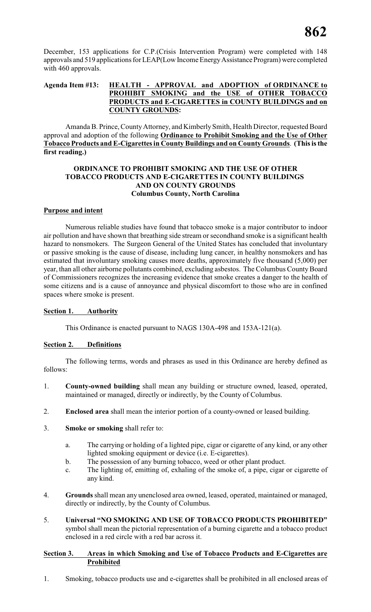December, 153 applications for C.P.(Crisis Intervention Program) were completed with 148 approvals and 519 applications for LEAP(Low Income Energy Assistance Program) were completed with 460 approvals.

# **Agenda Item #13: HEALTH - APPROVAL and ADOPTION of ORDINANCE to PROHIBIT SMOKING and the USE of OTHER TOBACCO PRODUCTS and E-CIGARETTES in COUNTY BUILDINGS and on COUNTY GROUNDS:**

Amanda B. Prince, County Attorney, and Kimberly Smith, Health Director, requested Board approval and adoption of the following **Ordinance to Prohibit Smoking and the Use of Other Tobacco Products and E-Cigarettes in County Buildings and on County Grounds**. **(This is the first reading.)**

#### **ORDINANCE TO PROHIBIT SMOKING AND THE USE OF OTHER TOBACCO PRODUCTS AND E-CIGARETTES IN COUNTY BUILDINGS AND ON COUNTY GROUNDS Columbus County, North Carolina**

# **Purpose and intent**

Numerous reliable studies have found that tobacco smoke is a major contributor to indoor air pollution and have shown that breathing side stream orsecondhand smoke is a significant health hazard to nonsmokers. The Surgeon General of the United States has concluded that involuntary or passive smoking is the cause of disease, including lung cancer, in healthy nonsmokers and has estimated that involuntary smoking causes more deaths, approximately five thousand (5,000) per year, than all other airborne pollutants combined, excluding asbestos. The Columbus County Board of Commissioners recognizes the increasing evidence that smoke creates a danger to the health of some citizens and is a cause of annoyance and physical discomfort to those who are in confined spaces where smoke is present.

# **Section 1. Authority**

This Ordinance is enacted pursuant to NAGS 130A-498 and 153A-121(a).

# **Section 2. Definitions**

The following terms, words and phrases as used in this Ordinance are hereby defined as follows:

- 1. **County-owned building** shall mean any building or structure owned, leased, operated, maintained or managed, directly or indirectly, by the County of Columbus.
- 2. **Enclosed area** shall mean the interior portion of a county-owned or leased building.
- 3. **Smoke or smoking** shall refer to:
	- a. The carrying or holding of a lighted pipe, cigar or cigarette of any kind, or any other lighted smoking equipment or device (i.e. E-cigarettes).
	- b. The possession of any burning tobacco, weed or other plant product.
	- c. The lighting of, emitting of, exhaling of the smoke of, a pipe, cigar or cigarette of any kind.
- 4. **Grounds** shall mean any unenclosed area owned, leased, operated, maintained or managed, directly or indirectly, by the County of Columbus.
- 5. **Universal "NO SMOKING AND USE OF TOBACCO PRODUCTS PROHIBITED"** symbol shall mean the pictorial representation of a burning cigarette and a tobacco product enclosed in a red circle with a red bar across it.

# **Section 3. Areas in which Smoking and Use of Tobacco Products and E-Cigarettes are Prohibited**

1. Smoking, tobacco products use and e-cigarettes shall be prohibited in all enclosed areas of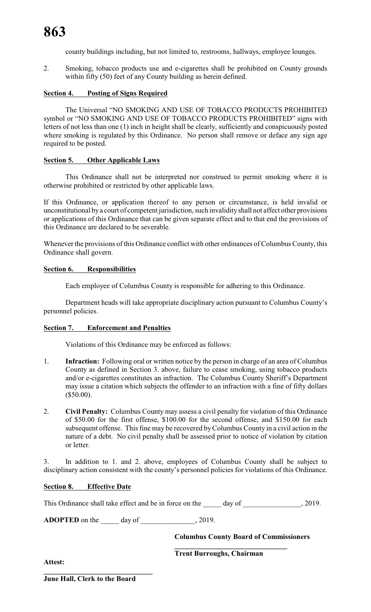county buildings including, but not limited to, restrooms, hallways, employee lounges.

2. Smoking, tobacco products use and e-cigarettes shall be prohibited on County grounds within fifty (50) feet of any County building as herein defined.

# **Section 4. Posting of Signs Required**

The Universal "NO SMOKING AND USE OF TOBACCO PRODUCTS PROHIBITED symbol or "NO SMOKING AND USE OF TOBACCO PRODUCTS PROHIBITED" signs with letters of not less than one (1) inch in height shall be clearly, sufficiently and conspicuously posted where smoking is regulated by this Ordinance. No person shall remove or deface any sign age required to be posted.

#### **Section 5. Other Applicable Laws**

This Ordinance shall not be interpreted nor construed to permit smoking where it is otherwise prohibited or restricted by other applicable laws.

If this Ordinance, or application thereof to any person or circumstance, is held invalid or unconstitutional by a court of competent jurisdiction, such invalidity shall not affect other provisions or applications of this Ordinance that can be given separate effect and to that end the provisions of this Ordinance are declared to be severable.

Whenever the provisions of this Ordinance conflict with other ordinances of Columbus County, this Ordinance shall govern.

#### **Section 6. Responsibilities**

Each employee of Columbus County is responsible for adhering to this Ordinance.

Department heads will take appropriate disciplinary action pursuant to Columbus County's personnel policies.

#### **Section 7. Enforcement and Penalties**

Violations of this Ordinance may be enforced as follows:

- 1. **Infraction:** Following oral or written notice by the person in charge of an area of Columbus County as defined in Section 3. above, failure to cease smoking, using tobacco products and/or e-cigarettes constitutes an infraction. The Columbus County Sheriff's Department may issue a citation which subjects the offender to an infraction with a fine of fifty dollars (\$50.00).
- 2. **Civil Penalty:** Columbus County may assess a civil penalty for violation of this Ordinance of \$50.00 for the first offense, \$100.00 for the second offense, and \$150.00 for each subsequent offense. This fine may be recovered by Columbus County in a civil action in the nature of a debt. No civil penalty shall be assessed prior to notice of violation by citation or letter.

3. In addition to 1. and 2. above, employees of Columbus County shall be subject to disciplinary action consistent with the county's personnel policies for violations of this Ordinance.

#### **Section 8. Effective Date**

This Ordinance shall take effect and be in force on the \_\_\_\_\_ day of \_\_\_\_\_\_\_\_\_\_\_\_, 2019.

**ADOPTED** on the \_\_\_\_\_ day of \_\_\_\_\_\_\_\_\_\_\_\_\_, 2019.

**Columbus County Board of Commissioners**

**Trent Burroughs, Chairman**

**\_\_\_\_\_\_\_\_\_\_\_\_\_\_\_\_\_\_\_\_\_\_\_\_\_\_\_\_\_\_\_**

**Attest:**

**June Hall, Clerk to the Board**

**\_\_\_\_\_\_\_\_\_\_\_\_\_\_\_\_\_\_\_\_\_\_\_\_\_\_\_\_\_\_**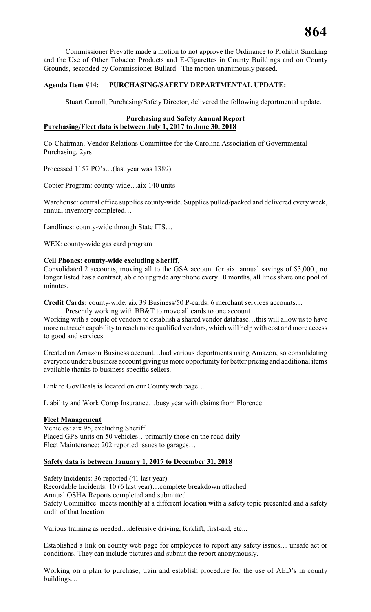Commissioner Prevatte made a motion to not approve the Ordinance to Prohibit Smoking and the Use of Other Tobacco Products and E-Cigarettes in County Buildings and on County Grounds, seconded by Commissioner Bullard. The motion unanimously passed.

# **Agenda Item #14: PURCHASING/SAFETY DEPARTMENTAL UPDATE:**

Stuart Carroll, Purchasing/Safety Director, delivered the following departmental update.

#### **Purchasing and Safety Annual Report Purchasing/Fleet data is between July 1, 2017 to June 30, 2018**

Co-Chairman, Vendor Relations Committee for the Carolina Association of Governmental Purchasing, 2yrs

Processed 1157 PO's…(last year was 1389)

Copier Program: county-wide…aix 140 units

Warehouse: central office supplies county-wide. Supplies pulled/packed and delivered every week, annual inventory completed…

Landlines: county-wide through State ITS…

WEX: county-wide gas card program

# **Cell Phones: county-wide excluding Sheriff,**

Consolidated 2 accounts, moving all to the GSA account for aix. annual savings of \$3,000., no longer listed has a contract, able to upgrade any phone every 10 months, all lines share one pool of minutes.

**Credit Cards:** county-wide, aix 39 Business/50 P-cards, 6 merchant services accounts…

Presently working with BB&T to move all cards to one account

Working with a couple of vendors to establish a shared vendor database…this will allow us to have more outreach capability to reach more qualified vendors, which will help with cost and more access to good and services.

Created an Amazon Business account…had various departments using Amazon, so consolidating everyone under a business account giving us more opportunity for better pricing and additional items available thanks to business specific sellers.

Link to GovDeals is located on our County web page…

Liability and Work Comp Insurance…busy year with claims from Florence

#### **Fleet Management**

Vehicles: aix 95, excluding Sheriff Placed GPS units on 50 vehicles…primarily those on the road daily Fleet Maintenance: 202 reported issues to garages…

# **Safety data is between January 1, 2017 to December 31, 2018**

Safety Incidents: 36 reported (41 last year) Recordable Incidents: 10 (6 last year)…complete breakdown attached Annual OSHA Reports completed and submitted Safety Committee: meets monthly at a different location with a safety topic presented and a safety audit of that location

Various training as needed…defensive driving, forklift, first-aid, etc...

Established a link on county web page for employees to report any safety issues… unsafe act or conditions. They can include pictures and submit the report anonymously.

Working on a plan to purchase, train and establish procedure for the use of AED's in county buildings…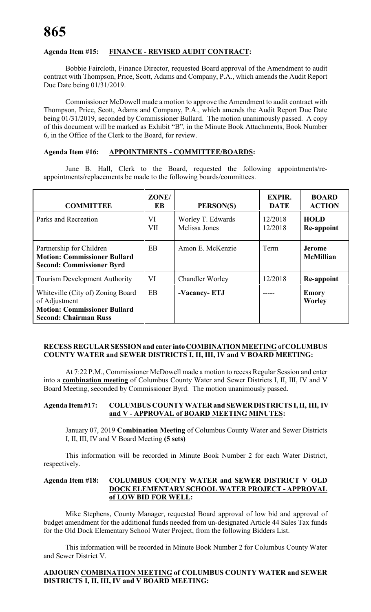# **Agenda Item #15: FINANCE - REVISED AUDIT CONTRACT:**

Bobbie Faircloth, Finance Director, requested Board approval of the Amendment to audit contract with Thompson, Price, Scott, Adams and Company, P.A., which amends the Audit Report Due Date being 01/31/2019.

Commissioner McDowell made a motion to approve the Amendment to audit contract with Thompson, Price, Scott, Adams and Company, P.A., which amends the Audit Report Due Date being 01/31/2019, seconded by Commissioner Bullard. The motion unanimously passed. A copy of this document will be marked as Exhibit "B", in the Minute Book Attachments, Book Number 6, in the Office of the Clerk to the Board, for review.

#### **Agenda Item #16: APPOINTMENTS - COMMITTEE/BOARDS:**

June B. Hall, Clerk to the Board, requested the following appointments/reappointments/replacements be made to the following boards/committees.

| <b>COMMITTEE</b>                                                                                                          | ZONE/<br>EB      | PERSON(S)                          | <b>EXPIR.</b><br><b>DATE</b> | <b>BOARD</b><br><b>ACTION</b>     |
|---------------------------------------------------------------------------------------------------------------------------|------------------|------------------------------------|------------------------------|-----------------------------------|
| Parks and Recreation                                                                                                      | VI<br><b>VII</b> | Worley T. Edwards<br>Melissa Jones | 12/2018<br>12/2018           | <b>HOLD</b><br>Re-appoint         |
| Partnership for Children<br><b>Motion: Commissioner Bullard</b><br><b>Second: Commissioner Byrd</b>                       | EB               | Amon E. McKenzie                   | Term                         | <b>Jerome</b><br><b>McMillian</b> |
| <b>Tourism Development Authority</b>                                                                                      | VI               | <b>Chandler Worley</b>             | 12/2018                      | Re-appoint                        |
| Whiteville (City of) Zoning Board<br>of Adjustment<br><b>Motion: Commissioner Bullard</b><br><b>Second: Chairman Russ</b> | EB               | -Vacancy-ETJ                       |                              | <b>Emory</b><br><b>Worley</b>     |

#### **RECESS REGULAR SESSION and enter into COMBINATION MEETING of COLUMBUS COUNTY WATER and SEWER DISTRICTS I, II, III, IV and V BOARD MEETING:**

At 7:22 P.M., Commissioner McDowell made a motion to recess Regular Session and enter into a **combination meeting** of Columbus County Water and Sewer Districts I, II, III, IV and V Board Meeting, seconded by Commissioner Byrd. The motion unanimously passed.

#### **Agenda Item #17: COLUMBUS COUNTY WATER and SEWER DISTRICTS I, II, III, IV and V - APPROVAL of BOARD MEETING MINUTES:**

January 07, 2019 **Combination Meeting** of Columbus County Water and Sewer Districts I, II, III, IV and V Board Meeting **(5 sets)**

This information will be recorded in Minute Book Number 2 for each Water District, respectively.

# **Agenda Item #18: COLUMBUS COUNTY WATER and SEWER DISTRICT V OLD DOCK ELEMENTARY SCHOOL WATER PROJECT - APPROVAL of LOW BID FOR WELL:**

Mike Stephens, County Manager, requested Board approval of low bid and approval of budget amendment for the additional funds needed from un-designated Article 44 Sales Tax funds for the Old Dock Elementary School Water Project, from the following Bidders List.

This information will be recorded in Minute Book Number 2 for Columbus County Water and Sewer District V.

# **ADJOURN COMBINATION MEETING of COLUMBUS COUNTY WATER and SEWER DISTRICTS I, II, III, IV and V BOARD MEETING:**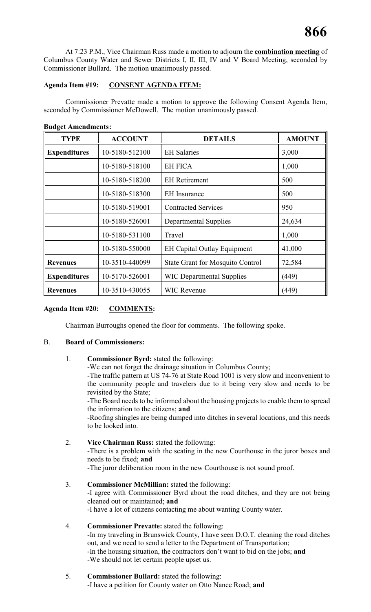At 7:23 P.M., Vice Chairman Russ made a motion to adjourn the **combination meeting** of Columbus County Water and Sewer Districts I, II, III, IV and V Board Meeting, seconded by Commissioner Bullard. The motion unanimously passed.

# **Agenda Item #19: CONSENT AGENDA ITEM:**

Commissioner Prevatte made a motion to approve the following Consent Agenda Item, seconded by Commissioner McDowell. The motion unanimously passed.

**Budget Amendments:**

| <b>TYPE</b>         | <b>ACCOUNT</b> | <b>DETAILS</b>                          | <b>AMOUNT</b> |
|---------------------|----------------|-----------------------------------------|---------------|
| <b>Expenditures</b> | 10-5180-512100 | <b>EH</b> Salaries                      | 3,000         |
|                     | 10-5180-518100 | <b>EH FICA</b>                          | 1,000         |
|                     | 10-5180-518200 | <b>EH</b> Retirement                    | 500           |
|                     | 10-5180-518300 | <b>EH</b> Insurance                     | 500           |
|                     | 10-5180-519001 | <b>Contracted Services</b>              | 950           |
|                     | 10-5180-526001 | <b>Departmental Supplies</b>            | 24,634        |
|                     | 10-5180-531100 | Travel                                  | 1,000         |
|                     | 10-5180-550000 | <b>EH Capital Outlay Equipment</b>      | 41,000        |
| <b>Revenues</b>     | 10-3510-440099 | <b>State Grant for Mosquito Control</b> | 72,584        |
| <b>Expenditures</b> | 10-5170-526001 | <b>WIC Departmental Supplies</b>        | (449)         |
| <b>Revenues</b>     | 10-3510-430055 | <b>WIC Revenue</b>                      | (449)         |

# **Agenda Item #20: COMMENTS:**

Chairman Burroughs opened the floor for comments. The following spoke.

# B. **Board of Commissioners:**

1. **Commissioner Byrd:** stated the following:

-We can not forget the drainage situation in Columbus County; -The traffic pattern at US 74-76 at State Road 1001 is very slow and inconvenient to the community people and travelers due to it being very slow and needs to be revisited by the State;

-The Board needs to be informed about the housing projects to enable them to spread the information to the citizens; **and**

-Roofing shingles are being dumped into ditches in several locations, and this needs to be looked into.

- 2. **Vice Chairman Russ:** stated the following: -There is a problem with the seating in the new Courthouse in the juror boxes and needs to be fixed; **and** -The juror deliberation room in the new Courthouse is not sound proof.
- 3. **Commissioner McMillian:** stated the following: -I agree with Commissioner Byrd about the road ditches, and they are not being cleaned out or maintained; **and** -I have a lot of citizens contacting me about wanting County water.
- 4. **Commissioner Prevatte:** stated the following: -In my traveling in Brunswick County, I have seen D.O.T. cleaning the road ditches out, and we need to send a letter to the Department of Transportation; -In the housing situation, the contractors don't want to bid on the jobs; **and** -We should not let certain people upset us.
- 5. **Commissioner Bullard:** stated the following: -I have a petition for County water on Otto Nance Road; **and**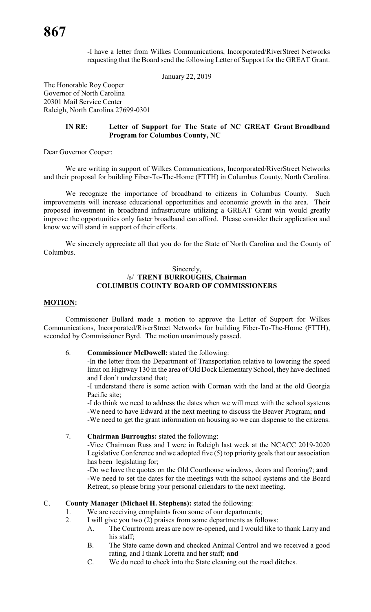-I have a letter from Wilkes Communications, Incorporated/RiverStreet Networks requesting that the Board send the following Letter of Support for the GREAT Grant.

January 22, 2019

The Honorable Roy Cooper Governor of North Carolina 20301 Mail Service Center Raleigh, North Carolina 27699-0301

#### **IN RE: Letter of Support for The State of NC GREAT Grant Broadband Program for Columbus County, NC**

Dear Governor Cooper:

We are writing in support of Wilkes Communications, Incorporated/RiverStreet Networks and their proposal for building Fiber-To-The-Home (FTTH) in Columbus County, North Carolina.

We recognize the importance of broadband to citizens in Columbus County. Such improvements will increase educational opportunities and economic growth in the area. Their proposed investment in broadband infrastructure utilizing a GREAT Grant win would greatly improve the opportunities only faster broadband can afford. Please consider their application and know we will stand in support of their efforts.

We sincerely appreciate all that you do for the State of North Carolina and the County of Columbus.

#### Sincerely, /s/ **TRENT BURROUGHS, Chairman COLUMBUS COUNTY BOARD OF COMMISSIONERS**

#### **MOTION:**

Commissioner Bullard made a motion to approve the Letter of Support for Wilkes Communications, Incorporated/RiverStreet Networks for building Fiber-To-The-Home (FTTH), seconded by Commissioner Byrd. The motion unanimously passed.

#### 6. **Commissioner McDowell:** stated the following:

-In the letter from the Department of Transportation relative to lowering the speed limit on Highway 130 in the area of Old Dock Elementary School, they have declined and I don't understand that;

-I understand there is some action with Corman with the land at the old Georgia Pacific site;

-I do think we need to address the dates when we will meet with the school systems -We need to have Edward at the next meeting to discuss the Beaver Program; **and** -We need to get the grant information on housing so we can dispense to the citizens.

# 7. **Chairman Burroughs:** stated the following:

-Vice Chairman Russ and I were in Raleigh last week at the NCACC 2019-2020 Legislative Conference and we adopted five (5) top priority goals that our association has been legislating for;

-Do we have the quotes on the Old Courthouse windows, doors and flooring?; **and** -We need to set the dates for the meetings with the school systems and the Board Retreat, so please bring your personal calendars to the next meeting.

# C. **County Manager (Michael H. Stephens):** stated the following:

- 1. We are receiving complaints from some of our departments;
- 2. I will give you two (2) praises from some departments as follows:
	- A. The Courtroom areas are now re-opened, and I would like to thank Larry and his staff;
	- B. The State came down and checked Animal Control and we received a good rating, and I thank Loretta and her staff; **and**
	- C. We do need to check into the State cleaning out the road ditches.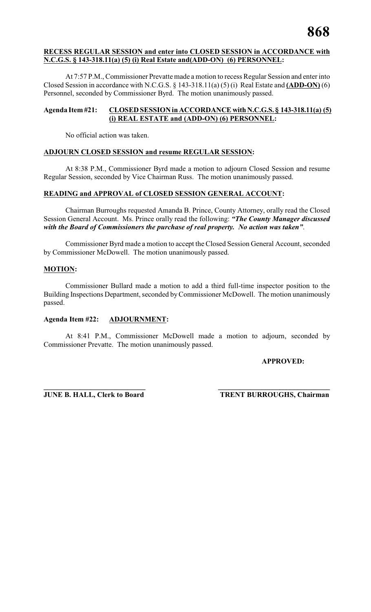# **RECESS REGULAR SESSION and enter into CLOSED SESSION in ACCORDANCE with N.C.G.S. § 143-318.11(a) (5) (i) Real Estate and(ADD-ON) (6) PERSONNEL:**

At 7:57 P.M., Commissioner Prevatte made a motion to recess Regular Session and enter into Closed Session in accordance with N.C.G.S. § 143-318.11(a) (5) (i) Real Estate and **(ADD-ON)** (6) Personnel, seconded by Commissioner Byrd. The motion unanimously passed.

# **Agenda Item #21: CLOSED SESSION in ACCORDANCE with N.C.G.S. § 143-318.11(a) (5) (i) REAL ESTATE and (ADD-ON) (6) PERSONNEL:**

No official action was taken.

# **ADJOURN CLOSED SESSION and resume REGULAR SESSION:**

At 8:38 P.M., Commissioner Byrd made a motion to adjourn Closed Session and resume Regular Session, seconded by Vice Chairman Russ. The motion unanimously passed.

# **READING and APPROVAL of CLOSED SESSION GENERAL ACCOUNT:**

Chairman Burroughs requested Amanda B. Prince, County Attorney, orally read the Closed Session General Account. Ms. Prince orally read the following: *"The County Manager discussed with the Board of Commissioners the purchase of real property. No action was taken"*.

Commissioner Byrd made a motion to accept the Closed Session General Account, seconded by Commissioner McDowell. The motion unanimously passed.

# **MOTION:**

Commissioner Bullard made a motion to add a third full-time inspector position to the Building Inspections Department, seconded by Commissioner McDowell. The motion unanimously passed.

# **Agenda Item #22: ADJOURNMENT:**

At 8:41 P.M., Commissioner McDowell made a motion to adjourn, seconded by Commissioner Prevatte. The motion unanimously passed.

# **APPROVED:**

**\_\_\_\_\_\_\_\_\_\_\_\_\_\_\_\_\_\_\_\_\_\_\_\_\_\_\_\_ \_\_\_\_\_\_\_\_\_\_\_\_\_\_\_\_\_\_\_\_\_\_\_\_\_\_\_\_\_\_\_**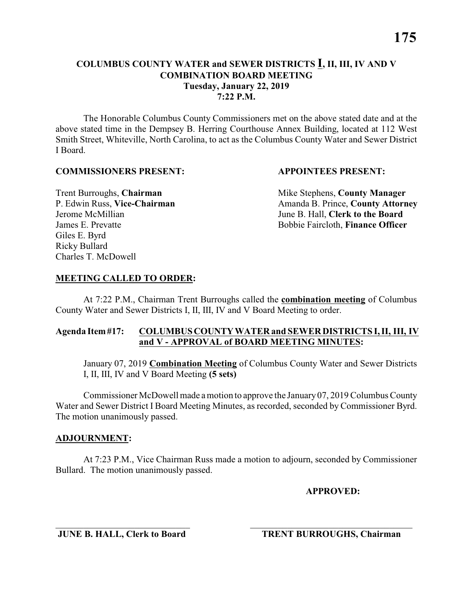The Honorable Columbus County Commissioners met on the above stated date and at the above stated time in the Dempsey B. Herring Courthouse Annex Building, located at 112 West Smith Street, Whiteville, North Carolina, to act as the Columbus County Water and Sewer District I Board.

#### **COMMISSIONERS PRESENT: APPOINTEES PRESENT:**

Giles E. Byrd Ricky Bullard Charles T. McDowell

**Trent Burroughs, Chairman** Mike Stephens, **County Manager** P. Edwin Russ, Vice-Chairman Amanda B. Prince, County Attorney Jerome McMillian June B. Hall, **Clerk to the Board** James E. Prevatte Bobbie Faircloth, **Finance Officer**

#### **MEETING CALLED TO ORDER:**

At 7:22 P.M., Chairman Trent Burroughs called the **combination meeting** of Columbus County Water and Sewer Districts I, II, III, IV and V Board Meeting to order.

#### **Agenda Item #17: COLUMBUS COUNTY WATER and SEWER DISTRICTS I, II, III, IV and V - APPROVAL of BOARD MEETING MINUTES:**

January 07, 2019 **Combination Meeting** of Columbus County Water and Sewer Districts I, II, III, IV and V Board Meeting **(5 sets)**

Commissioner McDowell made amotion to approve the January 07, 2019 Columbus County Water and Sewer District I Board Meeting Minutes, as recorded, seconded by Commissioner Byrd. The motion unanimously passed.

#### **ADJOURNMENT:**

At 7:23 P.M., Vice Chairman Russ made a motion to adjourn, seconded by Commissioner Bullard. The motion unanimously passed.

\_\_\_\_\_\_\_\_\_\_\_\_\_\_\_\_\_\_\_\_\_\_\_\_\_\_\_\_\_ \_\_\_\_\_\_\_\_\_\_\_\_\_\_\_\_\_\_\_\_\_\_\_\_\_\_\_\_\_\_\_\_\_\_\_

**APPROVED:**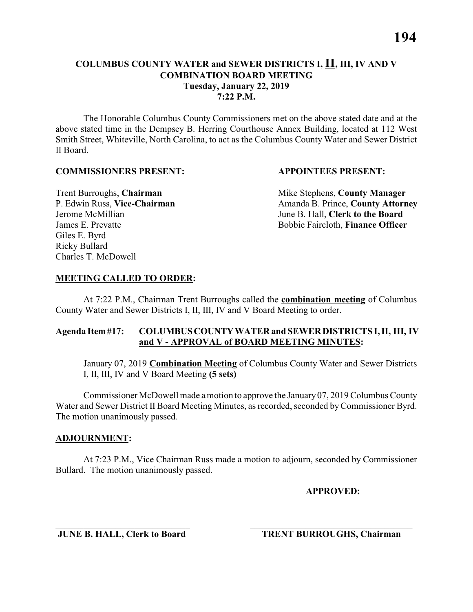The Honorable Columbus County Commissioners met on the above stated date and at the above stated time in the Dempsey B. Herring Courthouse Annex Building, located at 112 West Smith Street, Whiteville, North Carolina, to act as the Columbus County Water and Sewer District II Board.

#### **COMMISSIONERS PRESENT: APPOINTEES PRESENT:**

Giles E. Byrd Ricky Bullard Charles T. McDowell

**Trent Burroughs, Chairman** Mike Stephens, **County Manager** P. Edwin Russ, Vice-Chairman Amanda B. Prince, County Attorney Jerome McMillian June B. Hall, **Clerk to the Board** James E. Prevatte Bobbie Faircloth, **Finance Officer**

# **MEETING CALLED TO ORDER:**

At 7:22 P.M., Chairman Trent Burroughs called the **combination meeting** of Columbus County Water and Sewer Districts I, II, III, IV and V Board Meeting to order.

# **Agenda Item #17: COLUMBUS COUNTY WATER and SEWER DISTRICTS I, II, III, IV and V - APPROVAL of BOARD MEETING MINUTES:**

January 07, 2019 **Combination Meeting** of Columbus County Water and Sewer Districts I, II, III, IV and V Board Meeting **(5 sets)**

Commissioner McDowell made amotion to approve the January 07, 2019 Columbus County Water and Sewer District II Board Meeting Minutes, as recorded, seconded by Commissioner Byrd. The motion unanimously passed.

# **ADJOURNMENT:**

At 7:23 P.M., Vice Chairman Russ made a motion to adjourn, seconded by Commissioner Bullard. The motion unanimously passed.

\_\_\_\_\_\_\_\_\_\_\_\_\_\_\_\_\_\_\_\_\_\_\_\_\_\_\_\_\_ \_\_\_\_\_\_\_\_\_\_\_\_\_\_\_\_\_\_\_\_\_\_\_\_\_\_\_\_\_\_\_\_\_\_\_

**APPROVED:**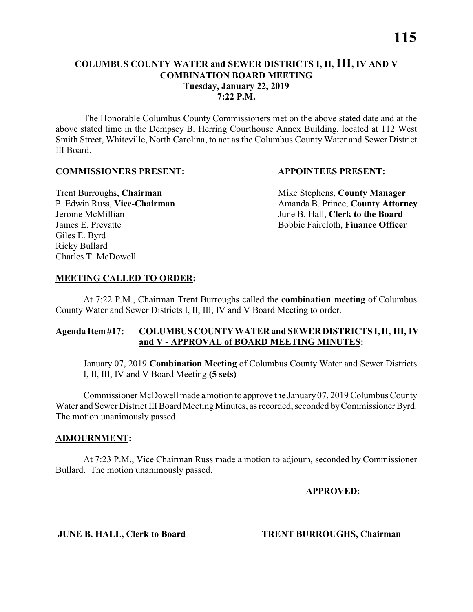The Honorable Columbus County Commissioners met on the above stated date and at the above stated time in the Dempsey B. Herring Courthouse Annex Building, located at 112 West Smith Street, Whiteville, North Carolina, to act as the Columbus County Water and Sewer District III Board.

#### **COMMISSIONERS PRESENT: APPOINTEES PRESENT:**

Giles E. Byrd Ricky Bullard Charles T. McDowell

**Trent Burroughs, Chairman** Mike Stephens, **County Manager** P. Edwin Russ, Vice-Chairman Amanda B. Prince, County Attorney Jerome McMillian June B. Hall, **Clerk to the Board** James E. Prevatte Bobbie Faircloth, **Finance Officer**

#### **MEETING CALLED TO ORDER:**

At 7:22 P.M., Chairman Trent Burroughs called the **combination meeting** of Columbus County Water and Sewer Districts I, II, III, IV and V Board Meeting to order.

#### **Agenda Item #17: COLUMBUS COUNTY WATER and SEWER DISTRICTS I, II, III, IV and V - APPROVAL of BOARD MEETING MINUTES:**

January 07, 2019 **Combination Meeting** of Columbus County Water and Sewer Districts I, II, III, IV and V Board Meeting **(5 sets)**

Commissioner McDowell made amotion to approve the January 07, 2019 Columbus County Water and Sewer District III Board Meeting Minutes, as recorded, seconded by Commissioner Byrd. The motion unanimously passed.

#### **ADJOURNMENT:**

At 7:23 P.M., Vice Chairman Russ made a motion to adjourn, seconded by Commissioner Bullard. The motion unanimously passed.

\_\_\_\_\_\_\_\_\_\_\_\_\_\_\_\_\_\_\_\_\_\_\_\_\_\_\_\_\_ \_\_\_\_\_\_\_\_\_\_\_\_\_\_\_\_\_\_\_\_\_\_\_\_\_\_\_\_\_\_\_\_\_\_\_

**APPROVED:**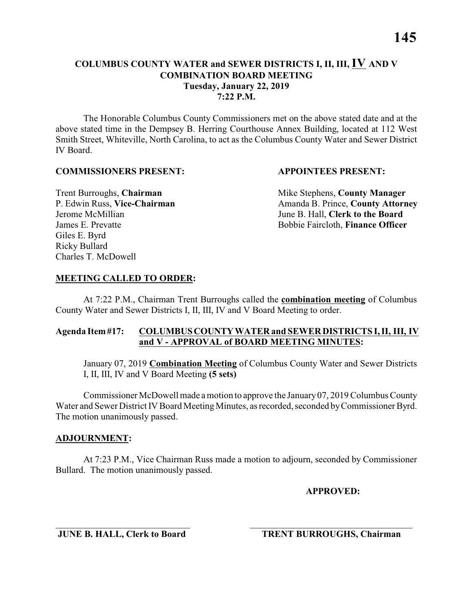The Honorable Columbus County Commissioners met on the above stated date and at the above stated time in the Dempsey B. Herring Courthouse Annex Building, located at 112 West Smith Street, Whiteville, North Carolina, to act as the Columbus County Water and Sewer District IV Board.

#### **COMMISSIONERS PRESENT: APPOINTEES PRESENT:**

Giles E. Byrd Ricky Bullard Charles T. McDowell

**Trent Burroughs, Chairman** Mike Stephens, **County Manager** P. Edwin Russ, Vice-Chairman Amanda B. Prince, County Attorney Jerome McMillian June B. Hall, **Clerk to the Board** James E. Prevatte Bobbie Faircloth, **Finance Officer**

#### **MEETING CALLED TO ORDER:**

At 7:22 P.M., Chairman Trent Burroughs called the **combination meeting** of Columbus County Water and Sewer Districts I, II, III, IV and V Board Meeting to order.

#### **Agenda Item #17: COLUMBUS COUNTY WATER and SEWER DISTRICTS I, II, III, IV and V - APPROVAL of BOARD MEETING MINUTES:**

January 07, 2019 **Combination Meeting** of Columbus County Water and Sewer Districts I, II, III, IV and V Board Meeting **(5 sets)**

Commissioner McDowell made amotion to approve the January 07, 2019 Columbus County Water and Sewer District IV Board Meeting Minutes, as recorded, seconded byCommissioner Byrd. The motion unanimously passed.

#### **ADJOURNMENT:**

At 7:23 P.M., Vice Chairman Russ made a motion to adjourn, seconded by Commissioner Bullard. The motion unanimously passed.

\_\_\_\_\_\_\_\_\_\_\_\_\_\_\_\_\_\_\_\_\_\_\_\_\_\_\_\_\_ \_\_\_\_\_\_\_\_\_\_\_\_\_\_\_\_\_\_\_\_\_\_\_\_\_\_\_\_\_\_\_\_\_\_\_

**APPROVED:**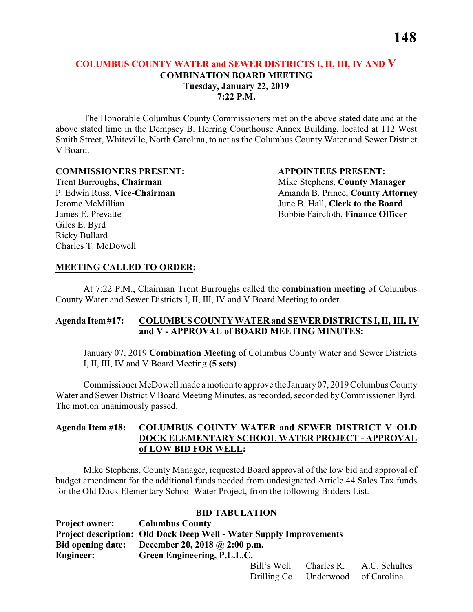The Honorable Columbus County Commissioners met on the above stated date and at the above stated time in the Dempsey B. Herring Courthouse Annex Building, located at 112 West Smith Street, Whiteville, North Carolina, to act as the Columbus County Water and Sewer District V Board.

#### **COMMISSIONERS PRESENT: APPOINTEES PRESENT:**

Giles E. Byrd Ricky Bullard Charles T. McDowell

Trent Burroughs, **Chairman** Mike Stephens, **County Manager** P. Edwin Russ, Vice-Chairman Amanda B. Prince, County Attorney Jerome McMillian June B. Hall, **Clerk to the Board** James E. Prevatte Bobbie Faircloth, **Finance Officer**

#### **MEETING CALLED TO ORDER:**

At 7:22 P.M., Chairman Trent Burroughs called the **combination meeting** of Columbus County Water and Sewer Districts I, II, III, IV and V Board Meeting to order.

#### **Agenda Item #17: COLUMBUS COUNTY WATER and SEWER DISTRICTS I, II, III, IV and V - APPROVAL of BOARD MEETING MINUTES:**

January 07, 2019 **Combination Meeting** of Columbus County Water and Sewer Districts I, II, III, IV and V Board Meeting **(5 sets)**

Commissioner McDowell made a motion to approve the January07, 2019Columbus County Water and Sewer District V Board Meeting Minutes, as recorded, seconded by Commissioner Byrd. The motion unanimously passed.

## **Agenda Item #18: COLUMBUS COUNTY WATER and SEWER DISTRICT V OLD DOCK ELEMENTARY SCHOOL WATER PROJECT - APPROVAL of LOW BID FOR WELL:**

Mike Stephens, County Manager, requested Board approval of the low bid and approval of budget amendment for the additional funds needed from undesignated Article 44 Sales Tax funds for the Old Dock Elementary School Water Project, from the following Bidders List.

#### **BID TABULATION**

| <b>Project owner:</b>    | <b>Columbus County</b>                                                     |
|--------------------------|----------------------------------------------------------------------------|
|                          | <b>Project description: Old Dock Deep Well - Water Supply Improvements</b> |
| <b>Bid opening date:</b> | December 20, 2018 @ 2:00 p.m.                                              |
| <b>Engineer:</b>         | Green Engineering, P.L.L.C.                                                |
|                          |                                                                            |

|  |                                    | Bill's Well Charles R. A.C. Schultes |
|--|------------------------------------|--------------------------------------|
|  | Drilling Co. Underwood of Carolina |                                      |